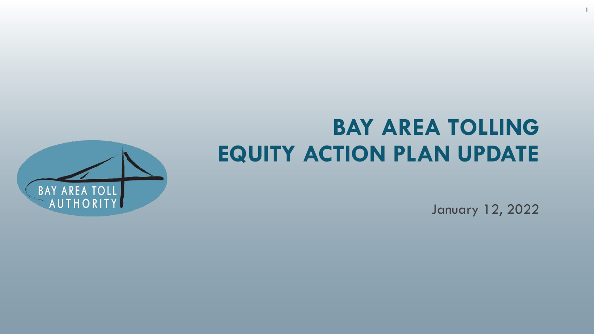

# **BAY AREA TOLLING EQUITY ACTION PLAN UPDATE**

January 12, 2022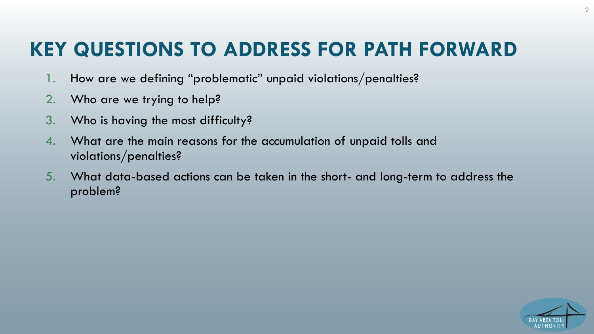#### **KEY QUESTIONS TO ADDRESS FOR PATH FORWARD**

- 1. How are we defining "problematic" unpaid violations/penalties?
- 2. Who are we trying to help?
- 3. Who is having the most difficulty?
- 4. What are the main reasons for the accumulation of unpaid tolls and violations/penalties?
- 5. What data-based actions can be taken in the short- and long-term to address the problem?

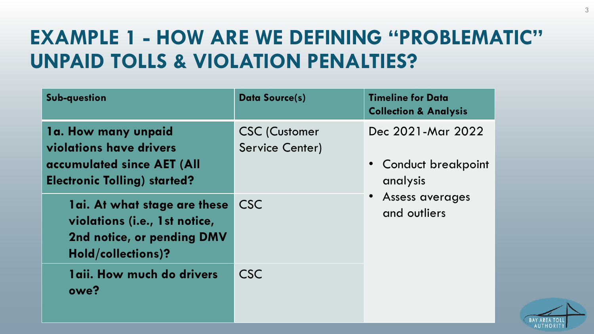# **EXAMPLE 1 - HOW ARE WE DEFINING "PROBLEMATIC" UNPAID TOLLS & VIOLATION PENALTIES?**

| Sub-question                                                                                                        | <b>Data Source(s)</b>                   | <b>Timeline for Data</b><br><b>Collection &amp; Analysis</b> |
|---------------------------------------------------------------------------------------------------------------------|-----------------------------------------|--------------------------------------------------------------|
| 1a. How many unpaid<br>violations have drivers<br>accumulated since AET (All<br><b>Electronic Tolling) started?</b> | <b>CSC (Customer</b><br>Service Center) | Dec 2021-Mar 2022<br><b>Conduct breakpoint</b><br>analysis   |
| 1ai. At what stage are these<br>violations (i.e., 1st notice,<br>2nd notice, or pending DMV<br>Hold/collections)?   | <b>CSC</b>                              | Assess averages<br>and outliers                              |
| 1aii. How much do drivers<br>owe?                                                                                   | <b>CSC</b>                              |                                                              |

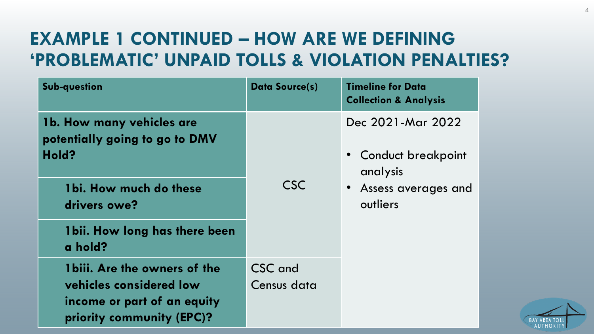#### **EXAMPLE 1 CONTINUED – HOW ARE WE DEFINING 'PROBLEMATIC' UNPAID TOLLS & VIOLATION PENALTIES?**

| <b>Sub-question</b>                                                                                                                                    | <b>Data Source(s)</b>  | <b>Timeline for Data</b><br><b>Collection &amp; Analysis</b>                               |  |
|--------------------------------------------------------------------------------------------------------------------------------------------------------|------------------------|--------------------------------------------------------------------------------------------|--|
| 1b. How many vehicles are<br>potentially going to go to DMV<br>Hold?<br>1bi. How much do these<br>drivers owe?<br><b>1bii. How long has there been</b> | <b>CSC</b>             | Dec 2021-Mar 2022<br>• Conduct breakpoint<br>analysis<br>• Assess averages and<br>outliers |  |
| a hold?                                                                                                                                                |                        |                                                                                            |  |
| <b>1biii. Are the owners of the</b><br>vehicles considered low<br>income or part of an equity<br>priority community (EPC)?                             | CSC and<br>Census data |                                                                                            |  |

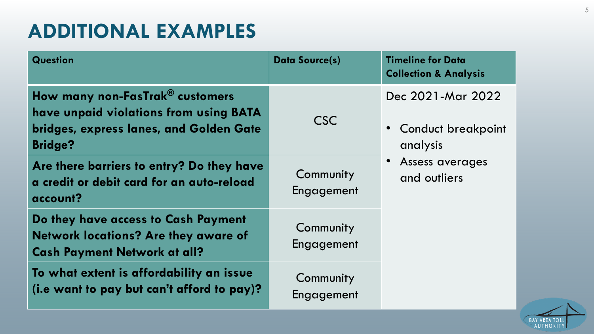# **ADDITIONAL EXAMPLES**

| <b>Question</b>                                                                                                                        | <b>Data Source(s)</b>   | <b>Timeline for Data</b><br><b>Collection &amp; Analysis</b> |  |  |
|----------------------------------------------------------------------------------------------------------------------------------------|-------------------------|--------------------------------------------------------------|--|--|
| How many non-FasTrak® customers<br>have unpaid violations from using BATA<br>bridges, express lanes, and Golden Gate<br><b>Bridge?</b> | <b>CSC</b>              | Dec 2021-Mar 2022<br>• Conduct breakpoint<br>analysis        |  |  |
| Are there barriers to entry? Do they have<br>a credit or debit card for an auto-reload<br>account?                                     | Community<br>Engagement | • Assess averages<br>and outliers                            |  |  |
| Do they have access to Cash Payment<br><b>Network locations? Are they aware of</b><br><b>Cash Payment Network at all?</b>              | Community<br>Engagement |                                                              |  |  |
| To what extent is affordability an issue<br>(i.e want to pay but can't afford to pay)?                                                 | Community<br>Engagement |                                                              |  |  |

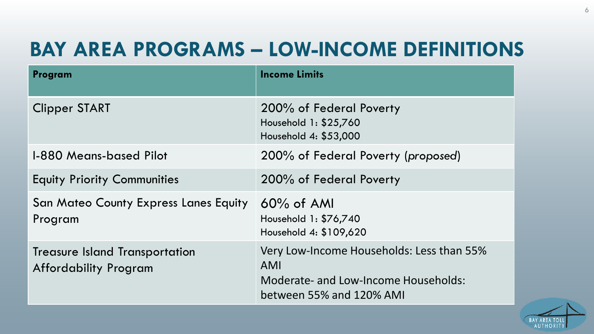#### **BAY AREA PROGRAMS – LOW-INCOME DEFINITIONS**

| Program                                                               | <b>Income Limits</b>                                                                                                 |
|-----------------------------------------------------------------------|----------------------------------------------------------------------------------------------------------------------|
| <b>Clipper START</b>                                                  | 200% of Federal Poverty<br>Household 1: \$25,760<br>Household 4: \$53,000                                            |
| <b>I-880 Means-based Pilot</b>                                        | 200% of Federal Poverty (proposed)                                                                                   |
| <b>Equity Priority Communities</b>                                    | 200% of Federal Poverty                                                                                              |
| <b>San Mateo County Express Lanes Equity</b><br>Program               | $60\%$ of AMI<br>Household 1: \$76,740<br>Household 4: \$109,620                                                     |
| <b>Treasure Island Transportation</b><br><b>Affordability Program</b> | Very Low-Income Households: Less than 55%<br>AMI<br>Moderate- and Low-Income Households:<br>between 55% and 120% AMI |

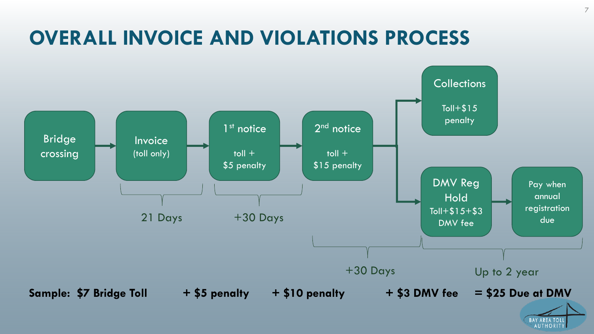#### **OVERALL INVOICE AND VIOLATIONS PROCESS**

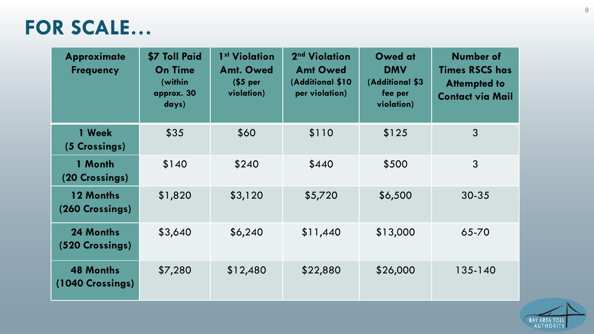#### **FOR SCALE…**

| <b>Approximate</b><br><b>Frequency</b> | \$7 Toll Paid<br><b>On Time</b><br>(within<br>approx. 30<br>days) | 1 <sup>st</sup> Violation<br><b>Amt. Owed</b><br>$$5$ per<br>violation) | 2 <sup>nd</sup> Violation<br><b>Amt Owed</b><br>(Additional \$10<br>per violation) | Owed at<br><b>DMV</b><br>(Additional \$3<br>fee per<br>violation) | <b>Number of</b><br><b>Times RSCS has</b><br><b>Attempted to</b><br><b>Contact via Mail</b> |
|----------------------------------------|-------------------------------------------------------------------|-------------------------------------------------------------------------|------------------------------------------------------------------------------------|-------------------------------------------------------------------|---------------------------------------------------------------------------------------------|
| 1 Week<br>(5 Crossings)                | \$35                                                              | \$60                                                                    | \$110                                                                              | \$125                                                             | $\mathfrak{Z}$                                                                              |
| 1 Month<br>(20 Crossings)              | \$140                                                             | \$240                                                                   | \$440                                                                              | \$500                                                             | $\mathfrak{Z}$                                                                              |
| 12 Months<br>(260 Crossings)           | \$1,820                                                           | \$3,120                                                                 | \$5,720                                                                            | \$6,500                                                           | $30 - 35$                                                                                   |
| 24 Months<br>(520 Crossings)           | \$3,640                                                           | \$6,240                                                                 | \$11,440                                                                           | \$13,000                                                          | 65-70                                                                                       |
| <b>48 Months</b><br>(1040 Crossings)   | \$7,280                                                           | \$12,480                                                                | \$22,880                                                                           | \$26,000                                                          | 135-140                                                                                     |

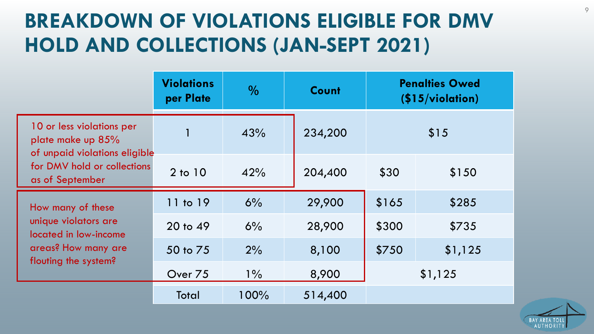### **BREAKDOWN OF VIOLATIONS ELIGIBLE FOR DMV HOLD AND COLLECTIONS (JAN-SEPT 2021)**

|                                                                                                                   | <b>Violations</b><br>per Plate | $\frac{0}{0}$ | Count   | <b>Penalties Owed</b><br>(\$15/violation) |         |
|-------------------------------------------------------------------------------------------------------------------|--------------------------------|---------------|---------|-------------------------------------------|---------|
| 10 or less violations per<br>plate make up 85%<br>of unpaid violations eligible                                   |                                | 43%           | 234,200 | \$15                                      |         |
| for DMV hold or collections<br>as of September                                                                    | $2$ to $10$                    | 42%           | 204,400 | \$30                                      | \$150   |
| How many of these<br>unique violators are<br>located in low-income<br>areas? How many are<br>flouting the system? | 11 to 19                       | 6%            | 29,900  | \$165                                     | \$285   |
|                                                                                                                   | 20 to 49                       | 6%            | 28,900  | \$300                                     | \$735   |
|                                                                                                                   | 50 to 75                       | 2%            | 8,100   | \$750                                     | \$1,125 |
|                                                                                                                   | Over 75                        | $1\%$         | 8,900   | \$1,125                                   |         |
|                                                                                                                   | Total                          | 100%          | 514,400 |                                           |         |

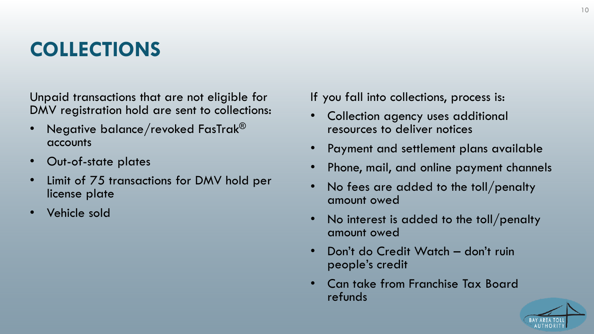# **COLLECTIONS**

Unpaid transactions that are not eligible for DMV registration hold are sent to collections:

- Negative balance/revoked FasTrak<sup>®</sup> accounts
- Out-of-state plates
- Limit of 75 transactions for DMV hold per license plate
- Vehicle sold

If you fall into collections, process is:

- Collection agency uses additional resources to deliver notices
- Payment and settlement plans available
- Phone, mail, and online payment channels
- No fees are added to the toll/penalty amount owed
- No interest is added to the toll/penalty amount owed
- Don't do Credit Watch don't ruin people's credit
- Can take from Franchise Tax Board refunds

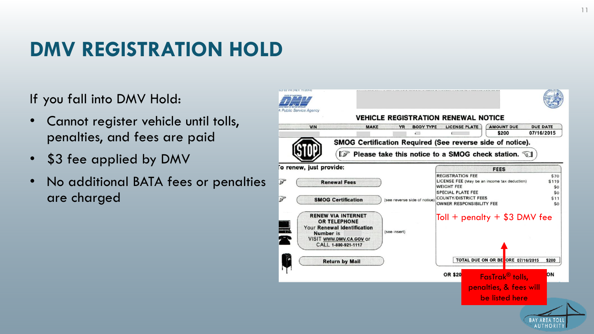#### **DMV REGISTRATION HOLD**

If you fall into DMV Hold:

- Cannot register vehicle until tolls, penalties, and fees are paid
- \$3 fee applied by DMV
- No additional BATA fees or penalties are charged

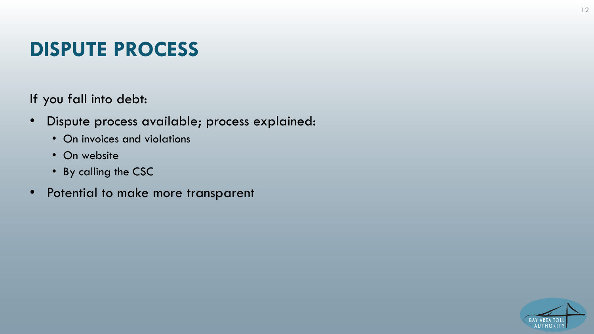#### **DISPUTE PROCESS**

If you fall into debt:

- Dispute process available; process explained:
	- On invoices and violations
	- On website
	- By calling the CSC
- Potential to make more transparent

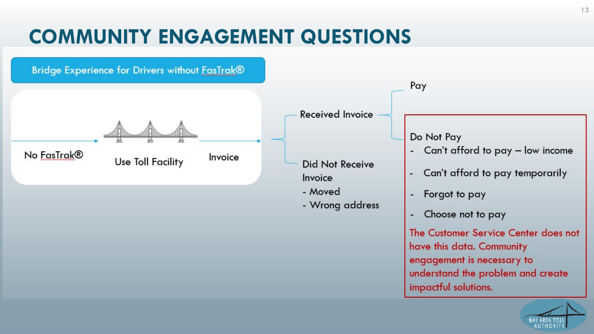#### **COMMUNITY ENGAGEMENT QUESTIONS**





understand the problem and create

impactful solutions.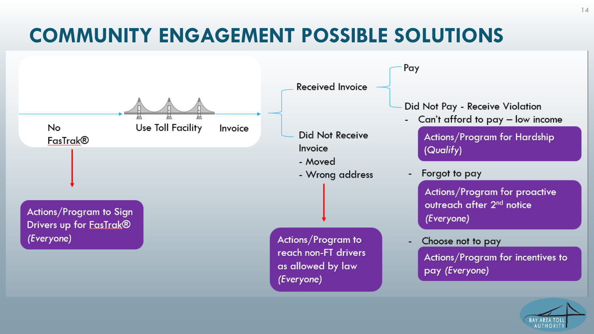#### **COMMUNITY ENGAGEMENT POSSIBLE SOLUTIONS**



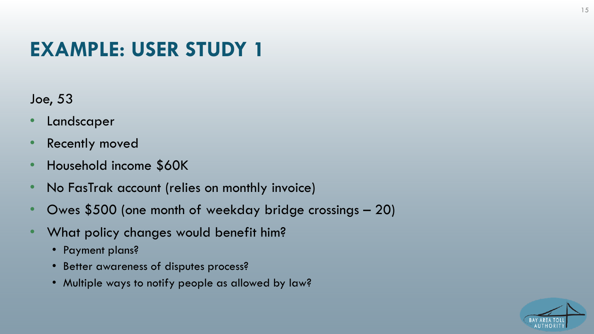#### **EXAMPLE: USER STUDY 1**

#### Joe, 53

- **Landscaper**
- **Recently moved**
- Household income \$60K
- No FasTrak account (relies on monthly invoice)
- Owes \$500 (one month of weekday bridge crossings 20)
- What policy changes would benefit him?
	- Payment plans?
	- Better awareness of disputes process?
	- Multiple ways to notify people as allowed by law?

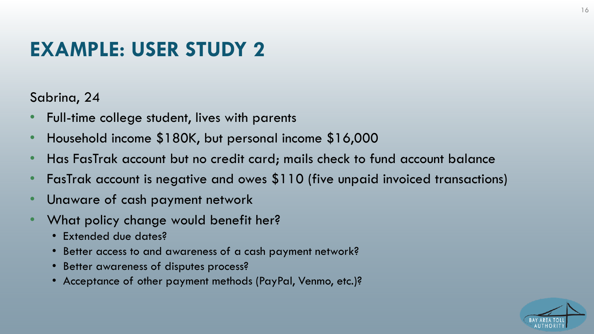#### **EXAMPLE: USER STUDY 2**

#### Sabrina, 24

- Full-time college student, lives with parents
- Household income \$180K, but personal income \$16,000
- Has FasTrak account but no credit card; mails check to fund account balance
- FasTrak account is negative and owes \$110 (five unpaid invoiced transactions)
- Unaware of cash payment network
- What policy change would benefit her?
	- Extended due dates?
	- Better access to and awareness of a cash payment network?
	- Better awareness of disputes process?
	- Acceptance of other payment methods (PayPal, Venmo, etc.)?

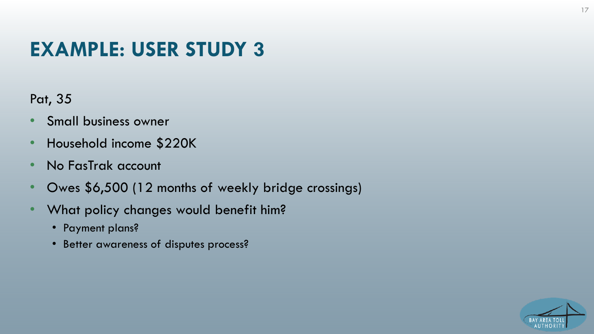#### **EXAMPLE: USER STUDY 3**

#### Pat, 35

- Small business owner
- Household income \$220K
- No FasTrak account
- Owes \$6,500 (12 months of weekly bridge crossings)
- What policy changes would benefit him?
	- Payment plans?
	- Better awareness of disputes process?

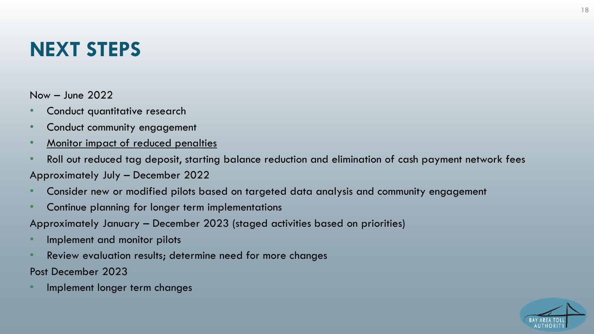#### **NEXT STEPS**

#### Now – June 2022

- Conduct quantitative research
- Conduct community engagement
- Monitor impact of reduced penalties
- Roll out reduced tag deposit, starting balance reduction and elimination of cash payment network fees
- Approximately July December 2022
- Consider new or modified pilots based on targeted data analysis and community engagement
- Continue planning for longer term implementations

Approximately January – December 2023 (staged activities based on priorities)

- Implement and monitor pilots
- Review evaluation results; determine need for more changes Post December 2023
- Implement longer term changes